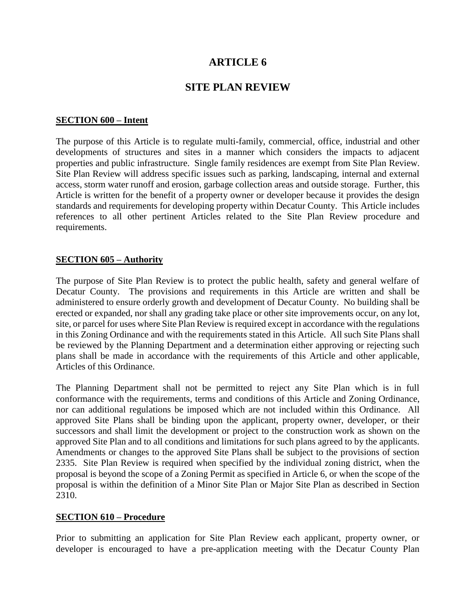# **ARTICLE 6**

# **SITE PLAN REVIEW**

#### **SECTION 600 – Intent**

The purpose of this Article is to regulate multi-family, commercial, office, industrial and other developments of structures and sites in a manner which considers the impacts to adjacent properties and public infrastructure. Single family residences are exempt from Site Plan Review. Site Plan Review will address specific issues such as parking, landscaping, internal and external access, storm water runoff and erosion, garbage collection areas and outside storage. Further, this Article is written for the benefit of a property owner or developer because it provides the design standards and requirements for developing property within Decatur County. This Article includes references to all other pertinent Articles related to the Site Plan Review procedure and requirements.

#### **SECTION 605 – Authority**

The purpose of Site Plan Review is to protect the public health, safety and general welfare of Decatur County. The provisions and requirements in this Article are written and shall be administered to ensure orderly growth and development of Decatur County. No building shall be erected or expanded, nor shall any grading take place or other site improvements occur, on any lot, site, or parcel for uses where Site Plan Review is required except in accordance with the regulations in this Zoning Ordinance and with the requirements stated in this Article. All such Site Plans shall be reviewed by the Planning Department and a determination either approving or rejecting such plans shall be made in accordance with the requirements of this Article and other applicable, Articles of this Ordinance.

The Planning Department shall not be permitted to reject any Site Plan which is in full conformance with the requirements, terms and conditions of this Article and Zoning Ordinance, nor can additional regulations be imposed which are not included within this Ordinance. All approved Site Plans shall be binding upon the applicant, property owner, developer, or their successors and shall limit the development or project to the construction work as shown on the approved Site Plan and to all conditions and limitations for such plans agreed to by the applicants. Amendments or changes to the approved Site Plans shall be subject to the provisions of section 2335. Site Plan Review is required when specified by the individual zoning district, when the proposal is beyond the scope of a Zoning Permit as specified in Article 6, or when the scope of the proposal is within the definition of a Minor Site Plan or Major Site Plan as described in Section 2310.

#### **SECTION 610 – Procedure**

Prior to submitting an application for Site Plan Review each applicant, property owner, or developer is encouraged to have a pre-application meeting with the Decatur County Plan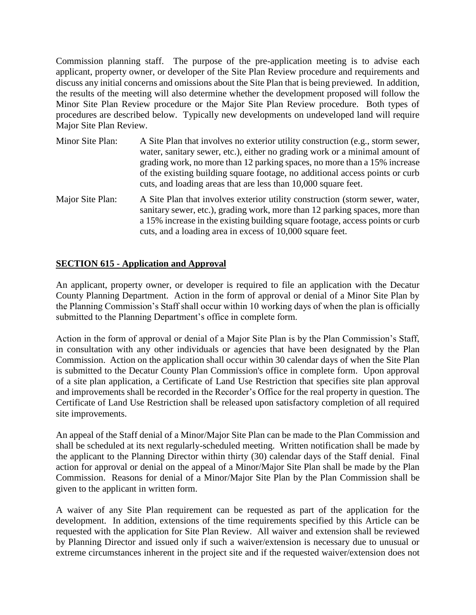Commission planning staff. The purpose of the pre-application meeting is to advise each applicant, property owner, or developer of the Site Plan Review procedure and requirements and discuss any initial concerns and omissions about the Site Plan that is being previewed. In addition, the results of the meeting will also determine whether the development proposed will follow the Minor Site Plan Review procedure or the Major Site Plan Review procedure. Both types of procedures are described below. Typically new developments on undeveloped land will require Major Site Plan Review.

| Minor Site Plan: | A Site Plan that involves no exterior utility construction (e.g., storm sewer,<br>water, sanitary sewer, etc.), either no grading work or a minimal amount of<br>grading work, no more than 12 parking spaces, no more than a 15% increase<br>of the existing building square footage, no additional access points or curb |
|------------------|----------------------------------------------------------------------------------------------------------------------------------------------------------------------------------------------------------------------------------------------------------------------------------------------------------------------------|
|                  | cuts, and loading areas that are less than 10,000 square feet.                                                                                                                                                                                                                                                             |
|                  |                                                                                                                                                                                                                                                                                                                            |

Major Site Plan: A Site Plan that involves exterior utility construction (storm sewer, water, sanitary sewer, etc.), grading work, more than 12 parking spaces, more than a 15% increase in the existing building square footage, access points or curb cuts, and a loading area in excess of 10,000 square feet.

# **SECTION 615 - Application and Approval**

An applicant, property owner, or developer is required to file an application with the Decatur County Planning Department. Action in the form of approval or denial of a Minor Site Plan by the Planning Commission's Staff shall occur within 10 working days of when the plan is officially submitted to the Planning Department's office in complete form.

Action in the form of approval or denial of a Major Site Plan is by the Plan Commission's Staff, in consultation with any other individuals or agencies that have been designated by the Plan Commission. Action on the application shall occur within 30 calendar days of when the Site Plan is submitted to the Decatur County Plan Commission's office in complete form. Upon approval of a site plan application, a Certificate of Land Use Restriction that specifies site plan approval and improvements shall be recorded in the Recorder's Office for the real property in question. The Certificate of Land Use Restriction shall be released upon satisfactory completion of all required site improvements.

An appeal of the Staff denial of a Minor/Major Site Plan can be made to the Plan Commission and shall be scheduled at its next regularly-scheduled meeting. Written notification shall be made by the applicant to the Planning Director within thirty (30) calendar days of the Staff denial. Final action for approval or denial on the appeal of a Minor/Major Site Plan shall be made by the Plan Commission. Reasons for denial of a Minor/Major Site Plan by the Plan Commission shall be given to the applicant in written form.

A waiver of any Site Plan requirement can be requested as part of the application for the development. In addition, extensions of the time requirements specified by this Article can be requested with the application for Site Plan Review. All waiver and extension shall be reviewed by Planning Director and issued only if such a waiver/extension is necessary due to unusual or extreme circumstances inherent in the project site and if the requested waiver/extension does not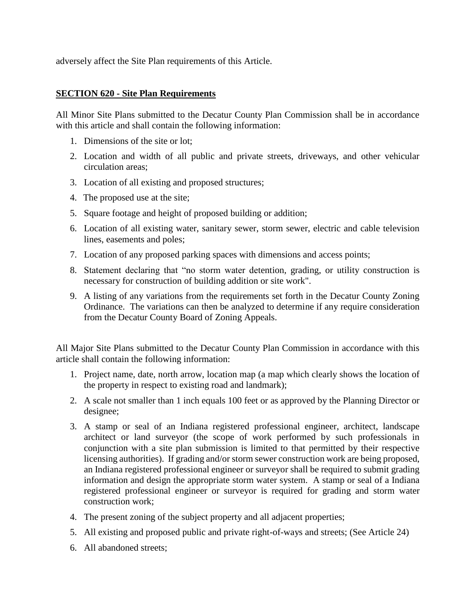adversely affect the Site Plan requirements of this Article.

### **SECTION 620 - Site Plan Requirements**

All Minor Site Plans submitted to the Decatur County Plan Commission shall be in accordance with this article and shall contain the following information:

- 1. Dimensions of the site or lot;
- 2. Location and width of all public and private streets, driveways, and other vehicular circulation areas;
- 3. Location of all existing and proposed structures;
- 4. The proposed use at the site;
- 5. Square footage and height of proposed building or addition;
- 6. Location of all existing water, sanitary sewer, storm sewer, electric and cable television lines, easements and poles;
- 7. Location of any proposed parking spaces with dimensions and access points;
- 8. Statement declaring that "no storm water detention, grading, or utility construction is necessary for construction of building addition or site work".
- 9. A listing of any variations from the requirements set forth in the Decatur County Zoning Ordinance. The variations can then be analyzed to determine if any require consideration from the Decatur County Board of Zoning Appeals.

All Major Site Plans submitted to the Decatur County Plan Commission in accordance with this article shall contain the following information:

- 1. Project name, date, north arrow, location map (a map which clearly shows the location of the property in respect to existing road and landmark);
- 2. A scale not smaller than 1 inch equals 100 feet or as approved by the Planning Director or designee;
- 3. A stamp or seal of an Indiana registered professional engineer, architect, landscape architect or land surveyor (the scope of work performed by such professionals in conjunction with a site plan submission is limited to that permitted by their respective licensing authorities). If grading and/or storm sewer construction work are being proposed, an Indiana registered professional engineer or surveyor shall be required to submit grading information and design the appropriate storm water system. A stamp or seal of a Indiana registered professional engineer or surveyor is required for grading and storm water construction work;
- 4. The present zoning of the subject property and all adjacent properties;
- 5. All existing and proposed public and private right-of-ways and streets; (See Article 24)
- 6. All abandoned streets;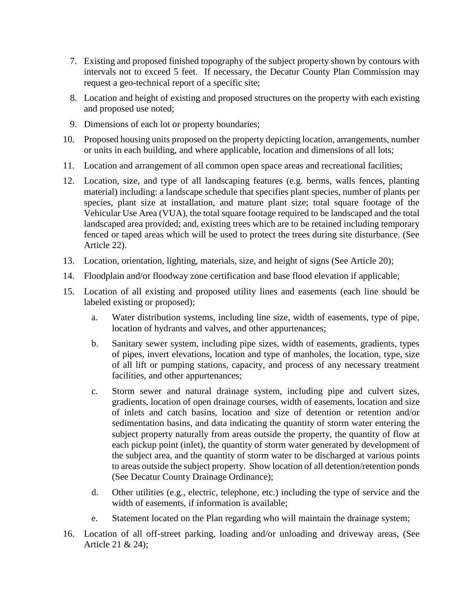- 7. Existing and proposed finished topography of the subject property shown by contours with intervals not to exceed 5 feet. If necessary, the Decatur County Plan Commission may request a geo-technical report of a specific site;
- 8. Location and height of existing and proposed structures on the property with each existing and proposed use noted;
- 9. Dimensions of each lot or property boundaries;
- 10. Proposed housing units proposed on the property depicting location, arrangements, number or units in each building, and where applicable, location and dimensions of all lots;
- 11. Location and arrangement of all common open space areas and recreational facilities;
- 12. Location, size, and type of all landscaping features (e.g. berms, walls fences, planting material) including: a landscape schedule that specifies plant species, number of plants per species, plant size at installation, and mature plant size; total square footage of the Vehicular Use Area (VUA), the total square footage required to be landscaped and the total landscaped area provided; and, existing trees which are to be retained including temporary fenced or taped areas which will be used to protect the trees during site disturbance. (See Article 22).
- 13. Location, orientation, lighting, materials, size, and height of signs (See Article 20);
- 14. Floodplain and/or floodway zone certification and base flood elevation if applicable;
- 15. Location of all existing and proposed utility lines and easements (each line should be labeled existing or proposed);
	- a. Water distribution systems, including line size, width of easements, type of pipe, location of hydrants and valves, and other appurtenances;
	- b. Sanitary sewer system, including pipe sizes, width of easements, gradients, types of pipes, invert elevations, location and type of manholes, the location, type, size of all lift or pumping stations, capacity, and process of any necessary treatment facilities, and other appurtenances;
	- c. Storm sewer and natural drainage system, including pipe and culvert sizes, gradients, location of open drainage courses, width of easements, location and size of inlets and catch basins, location and size of detention or retention and/or sedimentation basins, and data indicating the quantity of storm water entering the subject property naturally from areas outside the property, the quantity of flow at each pickup point (inlet), the quantity of storm water generated by development of the subject area, and the quantity of storm water to be discharged at various points to areas outside the subject property. Show location of all detention/retention ponds (See Decatur County Drainage Ordinance);
	- d. Other utilities (e.g., electric, telephone, etc.) including the type of service and the width of easements, if information is available;
	- e. Statement located on the Plan regarding who will maintain the drainage system;
- 16. Location of all off-street parking, loading and/or unloading and driveway areas, (See Article 21 & 24);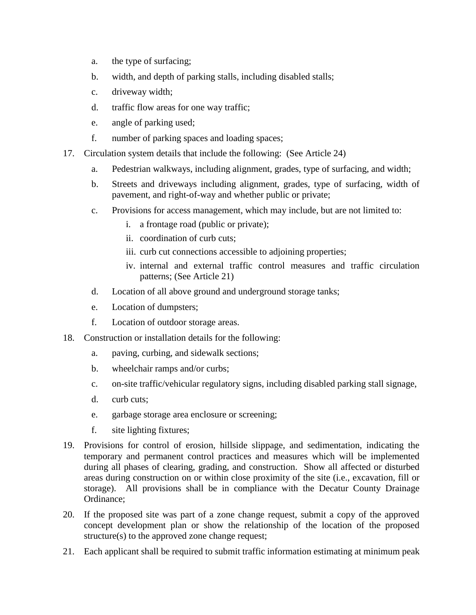- a. the type of surfacing;
- b. width, and depth of parking stalls, including disabled stalls;
- c. driveway width;
- d. traffic flow areas for one way traffic;
- e. angle of parking used;
- f. number of parking spaces and loading spaces;
- 17. Circulation system details that include the following: (See Article 24)
	- a. Pedestrian walkways, including alignment, grades, type of surfacing, and width;
	- b. Streets and driveways including alignment, grades, type of surfacing, width of pavement, and right-of-way and whether public or private;
	- c. Provisions for access management, which may include, but are not limited to:
		- i. a frontage road (public or private);
		- ii. coordination of curb cuts;
		- iii. curb cut connections accessible to adjoining properties;
		- iv. internal and external traffic control measures and traffic circulation patterns; (See Article 21)
	- d. Location of all above ground and underground storage tanks;
	- e. Location of dumpsters;
	- f. Location of outdoor storage areas.
- 18. Construction or installation details for the following:
	- a. paving, curbing, and sidewalk sections;
	- b. wheelchair ramps and/or curbs;
	- c. on-site traffic/vehicular regulatory signs, including disabled parking stall signage,
	- d. curb cuts;
	- e. garbage storage area enclosure or screening;
	- f. site lighting fixtures;
- 19. Provisions for control of erosion, hillside slippage, and sedimentation, indicating the temporary and permanent control practices and measures which will be implemented during all phases of clearing, grading, and construction. Show all affected or disturbed areas during construction on or within close proximity of the site (i.e., excavation, fill or storage). All provisions shall be in compliance with the Decatur County Drainage Ordinance;
- 20. If the proposed site was part of a zone change request, submit a copy of the approved concept development plan or show the relationship of the location of the proposed structure(s) to the approved zone change request;
- 21. Each applicant shall be required to submit traffic information estimating at minimum peak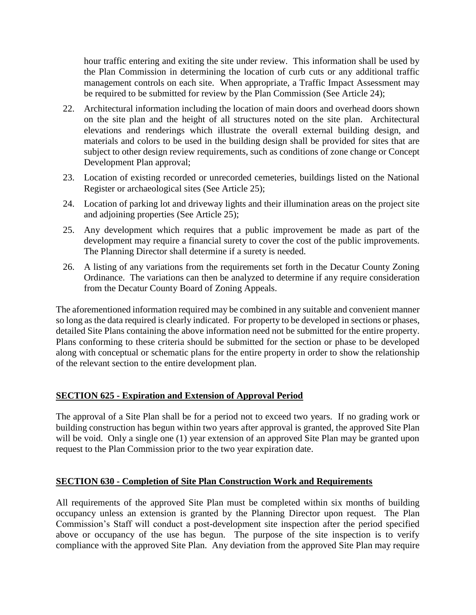hour traffic entering and exiting the site under review. This information shall be used by the Plan Commission in determining the location of curb cuts or any additional traffic management controls on each site. When appropriate, a Traffic Impact Assessment may be required to be submitted for review by the Plan Commission (See Article 24);

- 22. Architectural information including the location of main doors and overhead doors shown on the site plan and the height of all structures noted on the site plan. Architectural elevations and renderings which illustrate the overall external building design, and materials and colors to be used in the building design shall be provided for sites that are subject to other design review requirements, such as conditions of zone change or Concept Development Plan approval;
- 23. Location of existing recorded or unrecorded cemeteries, buildings listed on the National Register or archaeological sites (See Article 25);
- 24. Location of parking lot and driveway lights and their illumination areas on the project site and adjoining properties (See Article 25);
- 25. Any development which requires that a public improvement be made as part of the development may require a financial surety to cover the cost of the public improvements. The Planning Director shall determine if a surety is needed.
- 26. A listing of any variations from the requirements set forth in the Decatur County Zoning Ordinance. The variations can then be analyzed to determine if any require consideration from the Decatur County Board of Zoning Appeals.

The aforementioned information required may be combined in any suitable and convenient manner so long as the data required is clearly indicated. For property to be developed in sections or phases, detailed Site Plans containing the above information need not be submitted for the entire property. Plans conforming to these criteria should be submitted for the section or phase to be developed along with conceptual or schematic plans for the entire property in order to show the relationship of the relevant section to the entire development plan.

# **SECTION 625 - Expiration and Extension of Approval Period**

The approval of a Site Plan shall be for a period not to exceed two years. If no grading work or building construction has begun within two years after approval is granted, the approved Site Plan will be void. Only a single one (1) year extension of an approved Site Plan may be granted upon request to the Plan Commission prior to the two year expiration date.

# **SECTION 630 - Completion of Site Plan Construction Work and Requirements**

All requirements of the approved Site Plan must be completed within six months of building occupancy unless an extension is granted by the Planning Director upon request. The Plan Commission's Staff will conduct a post-development site inspection after the period specified above or occupancy of the use has begun. The purpose of the site inspection is to verify compliance with the approved Site Plan. Any deviation from the approved Site Plan may require